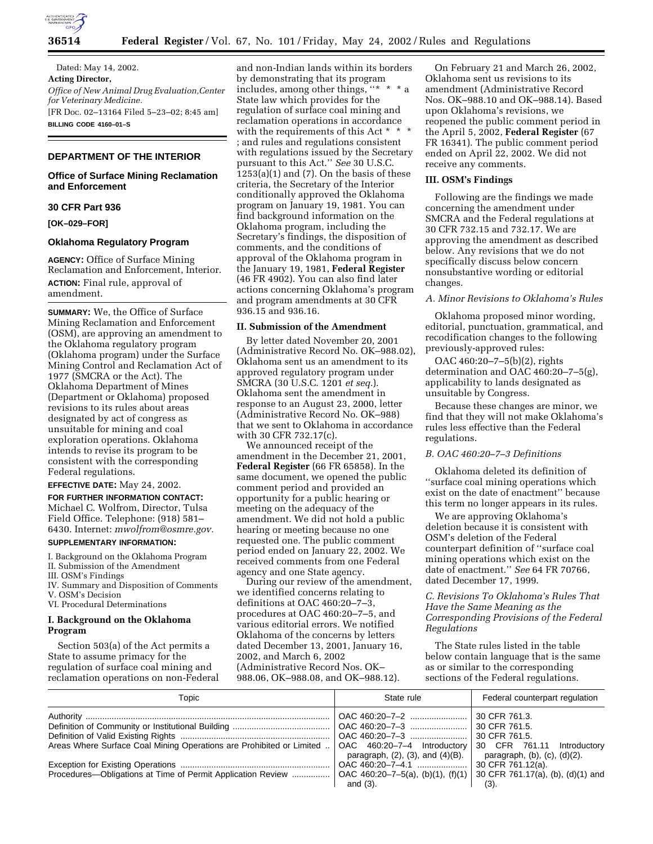

Dated: May 14, 2002. **Acting Director,** *Office of New Animal Drug Evaluation,Center for Veterinary Medicine.* [FR Doc. 02–13164 Filed 5–23–02; 8:45 am] **BILLING CODE 4160–01–S**

# **DEPARTMENT OF THE INTERIOR**

## **Office of Surface Mining Reclamation and Enforcement**

## **30 CFR Part 936**

**[OK–029–FOR]** 

### **Oklahoma Regulatory Program**

**AGENCY:** Office of Surface Mining Reclamation and Enforcement, Interior. **ACTION:** Final rule, approval of amendment.

**SUMMARY:** We, the Office of Surface Mining Reclamation and Enforcement (OSM), are approving an amendment to the Oklahoma regulatory program (Oklahoma program) under the Surface Mining Control and Reclamation Act of 1977 (SMCRA or the Act). The Oklahoma Department of Mines (Department or Oklahoma) proposed revisions to its rules about areas designated by act of congress as unsuitable for mining and coal exploration operations. Oklahoma intends to revise its program to be consistent with the corresponding Federal regulations.

# **EFFECTIVE DATE:** May 24, 2002.

**FOR FURTHER INFORMATION CONTACT:** Michael C. Wolfrom, Director, Tulsa Field Office. Telephone: (918) 581– 6430. Internet: *mwolfrom@osmre.gov.*

#### **SUPPLEMENTARY INFORMATION:**

I. Background on the Oklahoma Program II. Submission of the Amendment

III. OSM's Findings IV. Summary and Disposition of Comments

V. OSM's Decision

VI. Procedural Determinations

# **I. Background on the Oklahoma Program**

Section 503(a) of the Act permits a State to assume primacy for the regulation of surface coal mining and reclamation operations on non-Federal

and non-Indian lands within its borders by demonstrating that its program includes, among other things, ''\* \* \* a State law which provides for the regulation of surface coal mining and reclamation operations in accordance with the requirements of this Act \* \* \* ; and rules and regulations consistent with regulations issued by the Secretary pursuant to this Act.'' *See* 30 U.S.C.  $1253(a)(1)$  and  $(7)$ . On the basis of these criteria, the Secretary of the Interior conditionally approved the Oklahoma program on January 19, 1981. You can find background information on the Oklahoma program, including the Secretary's findings, the disposition of comments, and the conditions of approval of the Oklahoma program in the January 19, 1981, **Federal Register** (46 FR 4902). You can also find later actions concerning Oklahoma's program and program amendments at 30 CFR 936.15 and 936.16.

## **II. Submission of the Amendment**

By letter dated November 20, 2001 (Administrative Record No. OK–988.02), Oklahoma sent us an amendment to its approved regulatory program under SMCRA (30 U.S.C. 1201 *et seq.*). Oklahoma sent the amendment in response to an August 23, 2000, letter (Administrative Record No. OK–988) that we sent to Oklahoma in accordance with 30 CFR 732.17(c).

We announced receipt of the amendment in the December 21, 2001, **Federal Register** (66 FR 65858). In the same document, we opened the public comment period and provided an opportunity for a public hearing or meeting on the adequacy of the amendment. We did not hold a public hearing or meeting because no one requested one. The public comment period ended on January 22, 2002. We received comments from one Federal agency and one State agency.

During our review of the amendment, we identified concerns relating to definitions at OAC 460:20–7–3, procedures at OAC 460:20–7–5, and various editorial errors. We notified Oklahoma of the concerns by letters dated December 13, 2001, January 16, 2002, and March 6, 2002 (Administrative Record Nos. OK– 988.06, OK–988.08, and OK–988.12).

On February 21 and March 26, 2002, Oklahoma sent us revisions to its amendment (Administrative Record Nos. OK–988.10 and OK–988.14). Based upon Oklahoma's revisions, we reopened the public comment period in the April 5, 2002, **Federal Register** (67 FR 16341). The public comment period ended on April 22, 2002. We did not receive any comments.

## **III. OSM's Findings**

Following are the findings we made concerning the amendment under SMCRA and the Federal regulations at 30 CFR 732.15 and 732.17. We are approving the amendment as described below. Any revisions that we do not specifically discuss below concern nonsubstantive wording or editorial changes.

# *A. Minor Revisions to Oklahoma's Rules*

Oklahoma proposed minor wording, editorial, punctuation, grammatical, and recodification changes to the following previously-approved rules:

OAC 460:20–7–5(b)(2), rights determination and OAC 460:20–7–5(g), applicability to lands designated as unsuitable by Congress.

Because these changes are minor, we find that they will not make Oklahoma's rules less effective than the Federal regulations.

## *B. OAC 460:20–7–3 Definitions*

Oklahoma deleted its definition of ''surface coal mining operations which exist on the date of enactment'' because this term no longer appears in its rules.

We are approving Oklahoma's deletion because it is consistent with OSM's deletion of the Federal counterpart definition of ''surface coal mining operations which exist on the date of enactment.'' *See* 64 FR 70766, dated December 17, 1999.

# *C. Revisions To Oklahoma's Rules That Have the Same Meaning as the Corresponding Provisions of the Federal Regulations*

The State rules listed in the table below contain language that is the same as or similar to the corresponding sections of the Federal regulations.

| Topic                                                                                                                            | State rule                                | Federal counterpart regulation        |  |  |
|----------------------------------------------------------------------------------------------------------------------------------|-------------------------------------------|---------------------------------------|--|--|
|                                                                                                                                  | OAC 460:20-7-2                            | 30 CFR 761.3.                         |  |  |
|                                                                                                                                  | OAC 460:20-7-3                            | 30 CFR 761.5.                         |  |  |
|                                                                                                                                  |                                           | 30 CFR 761.5.                         |  |  |
| Areas Where Surface Coal Mining Operations are Prohibited or Limited    OAC 460:20-7-4 Introductory   30 CFR 761.11 Introductory |                                           |                                       |  |  |
|                                                                                                                                  | paragraph, $(2)$ , $(3)$ , and $(4)(B)$ . | paragraph, $(b)$ , $(c)$ , $(d)(2)$ . |  |  |
|                                                                                                                                  |                                           | 30 CFR 761.12(a).                     |  |  |
|                                                                                                                                  |                                           |                                       |  |  |
|                                                                                                                                  | and $(3)$ .                               | (3).                                  |  |  |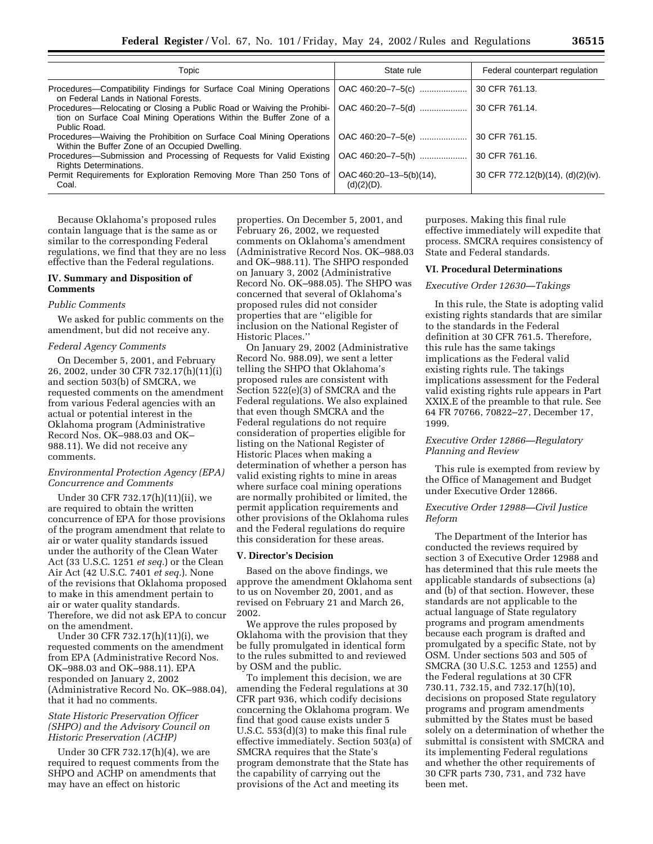| Topic                                                                                                                                                        | State rule                                            | Federal counterpart regulation    |  |
|--------------------------------------------------------------------------------------------------------------------------------------------------------------|-------------------------------------------------------|-----------------------------------|--|
| Procedures—Compatibility Findings for Surface Coal Mining Operations<br>on Federal Lands in National Forests.                                                | OAC 460:20-7-5(c)                                     | 30 CFR 761.13.                    |  |
| Procedures—Relocating or Closing a Public Road or Waiving the Prohibi-<br>tion on Surface Coal Mining Operations Within the Buffer Zone of a<br>Public Road. | OAC 460:20-7-5(d)                                     | 30 CFR 761.14.                    |  |
| Procedures—Waiving the Prohibition on Surface Coal Mining Operations<br>Within the Buffer Zone of an Occupied Dwelling.                                      | OAC 460:20-7-5(e)                                     | 30 CFR 761.15.                    |  |
| Procedures—Submission and Processing of Requests for Valid Existing   OAC 460:20-7-5(h)<br><b>Rights Determinations.</b>                                     |                                                       | 30 CFR 761.16.                    |  |
| Permit Requirements for Exploration Removing More Than 250 Tons of<br>Coal.                                                                                  | $\overline{OAC}$ 460:20-13-5(b)(14),<br>$(d)(2)(D)$ . | 30 CFR 772.12(b)(14), (d)(2)(iv). |  |

Because Oklahoma's proposed rules contain language that is the same as or similar to the corresponding Federal regulations, we find that they are no less effective than the Federal regulations.

# **IV. Summary and Disposition of Comments**

#### *Public Comments*

We asked for public comments on the amendment, but did not receive any.

### *Federal Agency Comments*

On December 5, 2001, and February 26, 2002, under 30 CFR 732.17(h)(11)(i) and section 503(b) of SMCRA, we requested comments on the amendment from various Federal agencies with an actual or potential interest in the Oklahoma program (Administrative Record Nos. OK–988.03 and OK– 988.11). We did not receive any comments.

## *Environmental Protection Agency (EPA) Concurrence and Comments*

Under 30 CFR 732.17(h)(11)(ii), we are required to obtain the written concurrence of EPA for those provisions of the program amendment that relate to air or water quality standards issued under the authority of the Clean Water Act (33 U.S.C. 1251 *et seq.*) or the Clean Air Act (42 U.S.C. 7401 *et seq.*). None of the revisions that Oklahoma proposed to make in this amendment pertain to air or water quality standards. Therefore, we did not ask EPA to concur on the amendment.

Under 30 CFR 732.17(h)(11)(i), we requested comments on the amendment from EPA (Administrative Record Nos. OK–988.03 and OK–988.11). EPA responded on January 2, 2002 (Administrative Record No. OK–988.04), that it had no comments.

## *State Historic Preservation Officer (SHPO) and the Advisory Council on Historic Preservation (ACHP)*

Under 30 CFR 732.17(h)(4), we are required to request comments from the SHPO and ACHP on amendments that may have an effect on historic

properties. On December 5, 2001, and February 26, 2002, we requested comments on Oklahoma's amendment (Administrative Record Nos. OK–988.03 and OK–988.11). The SHPO responded on January 3, 2002 (Administrative Record No. OK–988.05). The SHPO was concerned that several of Oklahoma's proposed rules did not consider properties that are ''eligible for inclusion on the National Register of Historic Places.''

On January 29, 2002 (Administrative Record No. 988.09), we sent a letter telling the SHPO that Oklahoma's proposed rules are consistent with Section 522(e)(3) of SMCRA and the Federal regulations. We also explained that even though SMCRA and the Federal regulations do not require consideration of properties eligible for listing on the National Register of Historic Places when making a determination of whether a person has valid existing rights to mine in areas where surface coal mining operations are normally prohibited or limited, the permit application requirements and other provisions of the Oklahoma rules and the Federal regulations do require this consideration for these areas.

### **V. Director's Decision**

Based on the above findings, we approve the amendment Oklahoma sent to us on November 20, 2001, and as revised on February 21 and March 26, 2002.

We approve the rules proposed by Oklahoma with the provision that they be fully promulgated in identical form to the rules submitted to and reviewed by OSM and the public.

To implement this decision, we are amending the Federal regulations at 30 CFR part 936, which codify decisions concerning the Oklahoma program. We find that good cause exists under 5 U.S.C. 553(d)(3) to make this final rule effective immediately. Section 503(a) of SMCRA requires that the State's program demonstrate that the State has the capability of carrying out the provisions of the Act and meeting its

purposes. Making this final rule effective immediately will expedite that process. SMCRA requires consistency of State and Federal standards.

#### **VI. Procedural Determinations**

## *Executive Order 12630—Takings*

In this rule, the State is adopting valid existing rights standards that are similar to the standards in the Federal definition at 30 CFR 761.5. Therefore, this rule has the same takings implications as the Federal valid existing rights rule. The takings implications assessment for the Federal valid existing rights rule appears in Part XXIX.E of the preamble to that rule. See 64 FR 70766, 70822–27, December 17, 1999.

## *Executive Order 12866—Regulatory Planning and Review*

This rule is exempted from review by the Office of Management and Budget under Executive Order 12866.

## *Executive Order 12988—Civil Justice Reform*

The Department of the Interior has conducted the reviews required by section 3 of Executive Order 12988 and has determined that this rule meets the applicable standards of subsections (a) and (b) of that section. However, these standards are not applicable to the actual language of State regulatory programs and program amendments because each program is drafted and promulgated by a specific State, not by OSM. Under sections 503 and 505 of SMCRA (30 U.S.C. 1253 and 1255) and the Federal regulations at 30 CFR 730.11, 732.15, and 732.17(h)(10), decisions on proposed State regulatory programs and program amendments submitted by the States must be based solely on a determination of whether the submittal is consistent with SMCRA and its implementing Federal regulations and whether the other requirements of 30 CFR parts 730, 731, and 732 have been met.